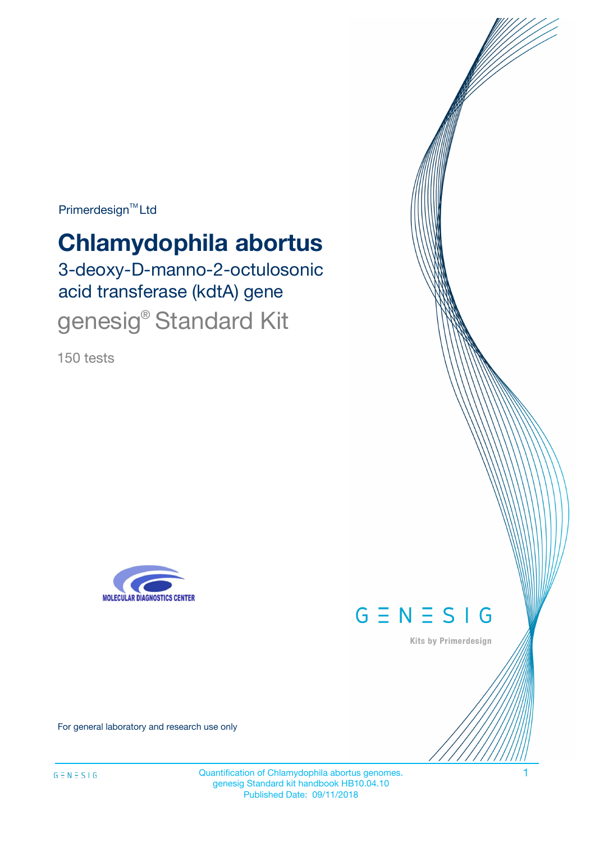Primerdesign<sup>™</sup>Ltd

# **Chlamydophila abortus**

3-deoxy-D-manno-2-octulosonic acid transferase (kdtA) gene genesig<sup>®</sup> Standard Kit

150 tests





Kits by Primerdesign

For general laboratory and research use only

Quantification of Chlamydophila abortus genomes. 1 genesig Standard kit handbook HB10.04.10 Published Date: 09/11/2018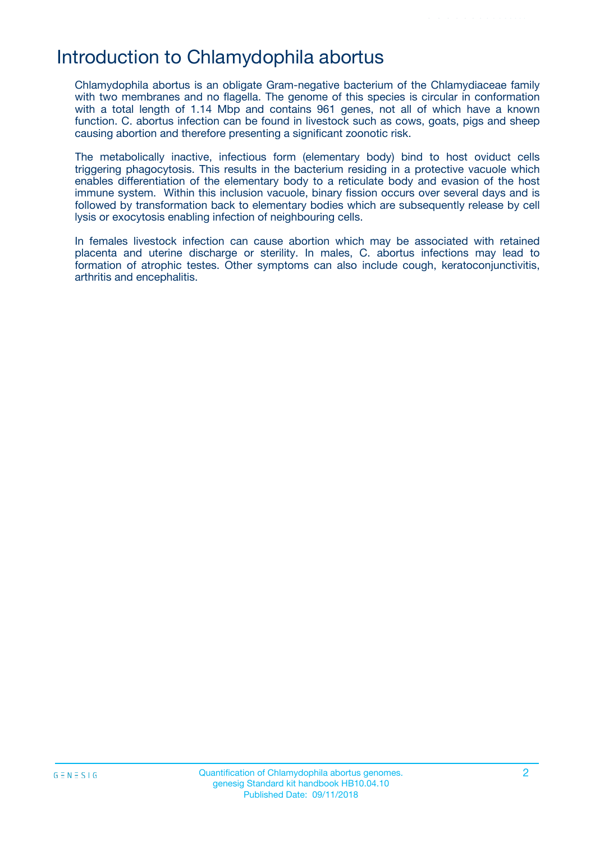### Introduction to Chlamydophila abortus

Chlamydophila abortus is an obligate Gram-negative bacterium of the Chlamydiaceae family with two membranes and no flagella. The genome of this species is circular in conformation with a total length of 1.14 Mbp and contains 961 genes, not all of which have a known function. C. abortus infection can be found in livestock such as cows, goats, pigs and sheep causing abortion and therefore presenting a significant zoonotic risk.

The metabolically inactive, infectious form (elementary body) bind to host oviduct cells triggering phagocytosis. This results in the bacterium residing in a protective vacuole which enables differentiation of the elementary body to a reticulate body and evasion of the host immune system. Within this inclusion vacuole, binary fission occurs over several days and is followed by transformation back to elementary bodies which are subsequently release by cell lysis or exocytosis enabling infection of neighbouring cells.

In females livestock infection can cause abortion which may be associated with retained placenta and uterine discharge or sterility. In males, C. abortus infections may lead to formation of atrophic testes. Other symptoms can also include cough, keratoconjunctivitis, arthritis and encephalitis.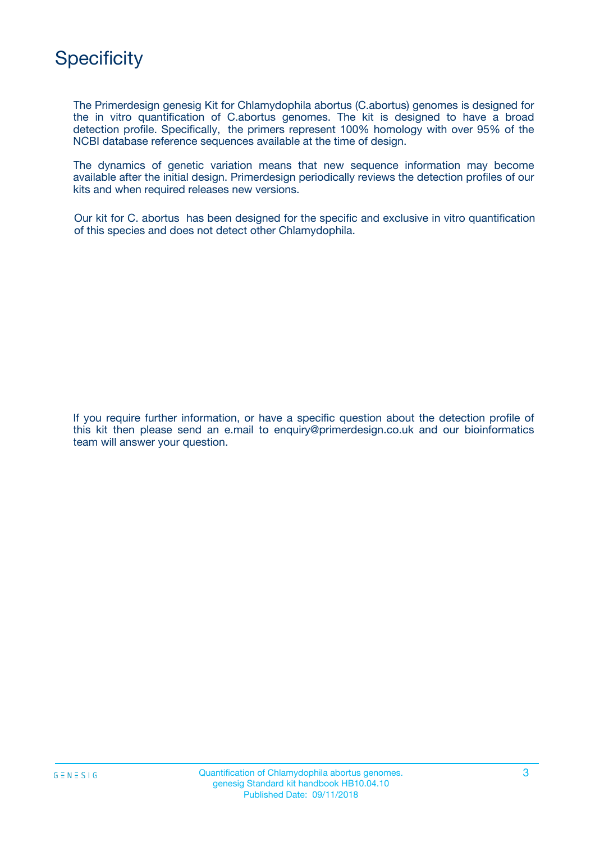

The Primerdesign genesig Kit for Chlamydophila abortus (C.abortus) genomes is designed for the in vitro quantification of C.abortus genomes. The kit is designed to have a broad detection profile. Specifically, the primers represent 100% homology with over 95% of the NCBI database reference sequences available at the time of design.

The dynamics of genetic variation means that new sequence information may become available after the initial design. Primerdesign periodically reviews the detection profiles of our kits and when required releases new versions.

Our kit for C. abortus has been designed for the specific and exclusive in vitro quantification of this species and does not detect other Chlamydophila.

If you require further information, or have a specific question about the detection profile of this kit then please send an e.mail to enquiry@primerdesign.co.uk and our bioinformatics team will answer your question.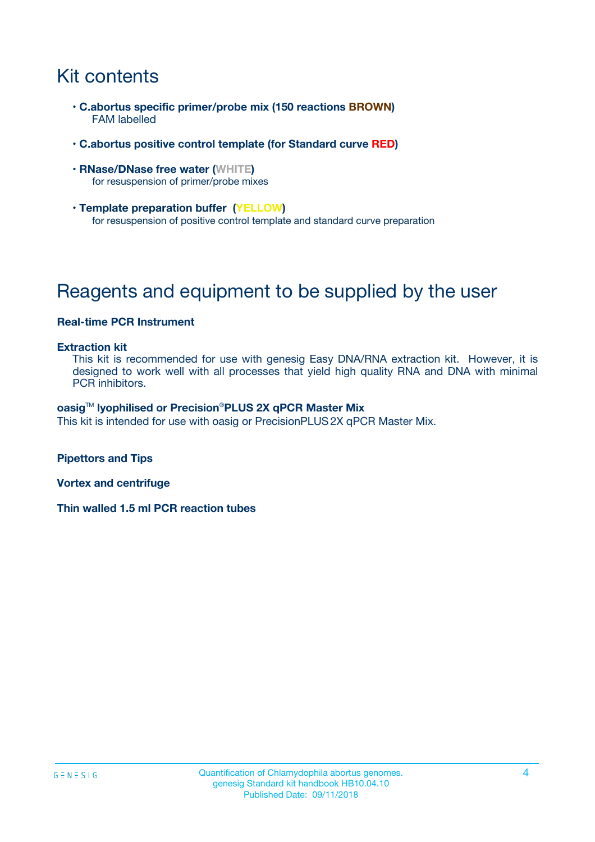# Kit contents

- **C.abortus specific primer/probe mix (150 reactions BROWN)** FAM labelled
- **C.abortus positive control template (for Standard curve RED)**
- **RNase/DNase free water (WHITE)** for resuspension of primer/probe mixes
- **Template preparation buffer (YELLOW)** for resuspension of positive control template and standard curve preparation

## Reagents and equipment to be supplied by the user

#### **Real-time PCR Instrument**

#### **Extraction kit**

This kit is recommended for use with genesig Easy DNA/RNA extraction kit. However, it is designed to work well with all processes that yield high quality RNA and DNA with minimal PCR inhibitors.

#### **oasig**TM **lyophilised or Precision**®**PLUS 2X qPCR Master Mix**

This kit is intended for use with oasig or PrecisionPLUS2X qPCR Master Mix.

**Pipettors and Tips**

**Vortex and centrifuge**

**Thin walled 1.5 ml PCR reaction tubes**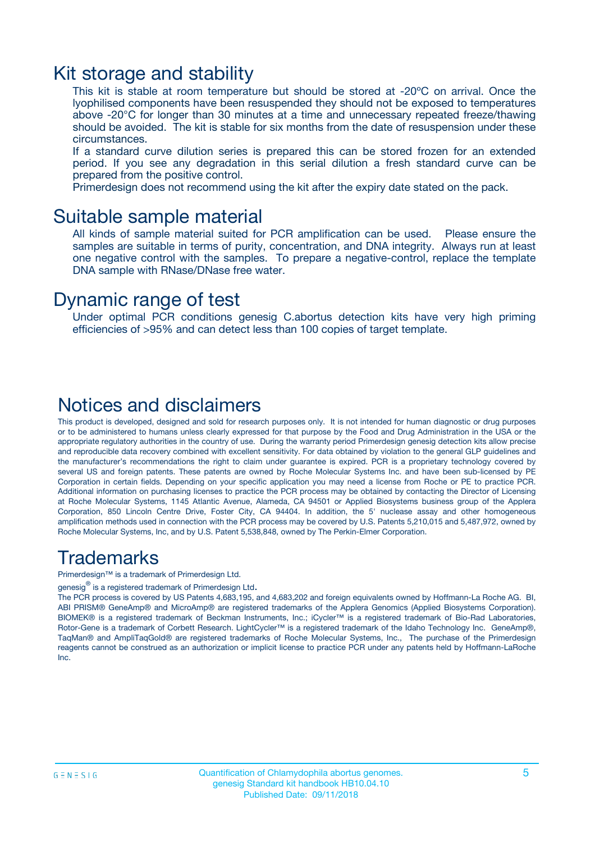### Kit storage and stability

This kit is stable at room temperature but should be stored at -20ºC on arrival. Once the lyophilised components have been resuspended they should not be exposed to temperatures above -20°C for longer than 30 minutes at a time and unnecessary repeated freeze/thawing should be avoided. The kit is stable for six months from the date of resuspension under these circumstances.

If a standard curve dilution series is prepared this can be stored frozen for an extended period. If you see any degradation in this serial dilution a fresh standard curve can be prepared from the positive control.

Primerdesign does not recommend using the kit after the expiry date stated on the pack.

### Suitable sample material

All kinds of sample material suited for PCR amplification can be used. Please ensure the samples are suitable in terms of purity, concentration, and DNA integrity. Always run at least one negative control with the samples. To prepare a negative-control, replace the template DNA sample with RNase/DNase free water.

### Dynamic range of test

Under optimal PCR conditions genesig C.abortus detection kits have very high priming efficiencies of >95% and can detect less than 100 copies of target template.

### Notices and disclaimers

This product is developed, designed and sold for research purposes only. It is not intended for human diagnostic or drug purposes or to be administered to humans unless clearly expressed for that purpose by the Food and Drug Administration in the USA or the appropriate regulatory authorities in the country of use. During the warranty period Primerdesign genesig detection kits allow precise and reproducible data recovery combined with excellent sensitivity. For data obtained by violation to the general GLP guidelines and the manufacturer's recommendations the right to claim under guarantee is expired. PCR is a proprietary technology covered by several US and foreign patents. These patents are owned by Roche Molecular Systems Inc. and have been sub-licensed by PE Corporation in certain fields. Depending on your specific application you may need a license from Roche or PE to practice PCR. Additional information on purchasing licenses to practice the PCR process may be obtained by contacting the Director of Licensing at Roche Molecular Systems, 1145 Atlantic Avenue, Alameda, CA 94501 or Applied Biosystems business group of the Applera Corporation, 850 Lincoln Centre Drive, Foster City, CA 94404. In addition, the 5' nuclease assay and other homogeneous amplification methods used in connection with the PCR process may be covered by U.S. Patents 5,210,015 and 5,487,972, owned by Roche Molecular Systems, Inc, and by U.S. Patent 5,538,848, owned by The Perkin-Elmer Corporation.

### Trademarks

Primerdesign™ is a trademark of Primerdesign Ltd.

genesig $^\circledR$  is a registered trademark of Primerdesign Ltd.

The PCR process is covered by US Patents 4,683,195, and 4,683,202 and foreign equivalents owned by Hoffmann-La Roche AG. BI, ABI PRISM® GeneAmp® and MicroAmp® are registered trademarks of the Applera Genomics (Applied Biosystems Corporation). BIOMEK® is a registered trademark of Beckman Instruments, Inc.; iCycler™ is a registered trademark of Bio-Rad Laboratories, Rotor-Gene is a trademark of Corbett Research. LightCycler™ is a registered trademark of the Idaho Technology Inc. GeneAmp®, TaqMan® and AmpliTaqGold® are registered trademarks of Roche Molecular Systems, Inc., The purchase of the Primerdesign reagents cannot be construed as an authorization or implicit license to practice PCR under any patents held by Hoffmann-LaRoche Inc.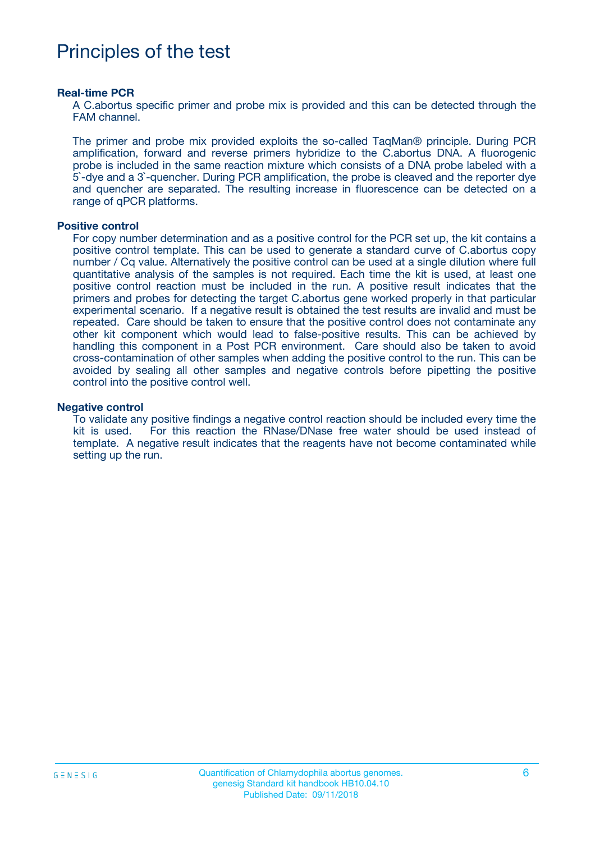### Principles of the test

#### **Real-time PCR**

A C.abortus specific primer and probe mix is provided and this can be detected through the FAM channel.

The primer and probe mix provided exploits the so-called TaqMan® principle. During PCR amplification, forward and reverse primers hybridize to the C.abortus DNA. A fluorogenic probe is included in the same reaction mixture which consists of a DNA probe labeled with a 5`-dye and a 3`-quencher. During PCR amplification, the probe is cleaved and the reporter dye and quencher are separated. The resulting increase in fluorescence can be detected on a range of qPCR platforms.

#### **Positive control**

For copy number determination and as a positive control for the PCR set up, the kit contains a positive control template. This can be used to generate a standard curve of C.abortus copy number / Cq value. Alternatively the positive control can be used at a single dilution where full quantitative analysis of the samples is not required. Each time the kit is used, at least one positive control reaction must be included in the run. A positive result indicates that the primers and probes for detecting the target C.abortus gene worked properly in that particular experimental scenario. If a negative result is obtained the test results are invalid and must be repeated. Care should be taken to ensure that the positive control does not contaminate any other kit component which would lead to false-positive results. This can be achieved by handling this component in a Post PCR environment. Care should also be taken to avoid cross-contamination of other samples when adding the positive control to the run. This can be avoided by sealing all other samples and negative controls before pipetting the positive control into the positive control well.

#### **Negative control**

To validate any positive findings a negative control reaction should be included every time the kit is used. For this reaction the RNase/DNase free water should be used instead of template. A negative result indicates that the reagents have not become contaminated while setting up the run.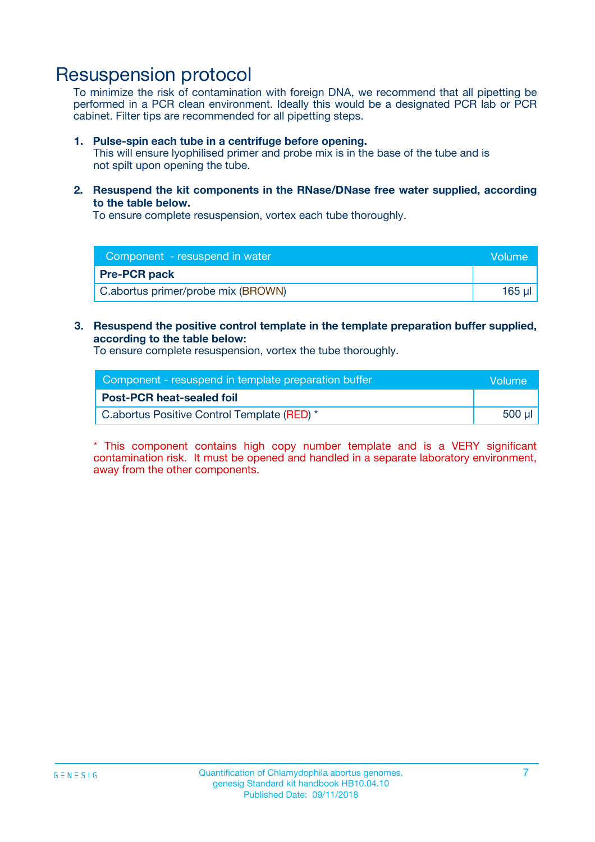### Resuspension protocol

To minimize the risk of contamination with foreign DNA, we recommend that all pipetting be performed in a PCR clean environment. Ideally this would be a designated PCR lab or PCR cabinet. Filter tips are recommended for all pipetting steps.

#### **1. Pulse-spin each tube in a centrifuge before opening.**

This will ensure lyophilised primer and probe mix is in the base of the tube and is not spilt upon opening the tube.

**2. Resuspend the kit components in the RNase/DNase free water supplied, according to the table below.**

To ensure complete resuspension, vortex each tube thoroughly.

| Component - resuspend in water<br><b>Volume</b> |        |
|-------------------------------------------------|--------|
| <b>Pre-PCR pack</b>                             |        |
| C.abortus primer/probe mix (BROWN)              | 165 µl |

#### **3. Resuspend the positive control template in the template preparation buffer supplied, according to the table below:**

To ensure complete resuspension, vortex the tube thoroughly.

| Component - resuspend in template preparation buffer |        |  |
|------------------------------------------------------|--------|--|
| <b>Post-PCR heat-sealed foil</b>                     |        |  |
| C.abortus Positive Control Template (RED) *          | 500 µl |  |

\* This component contains high copy number template and is a VERY significant contamination risk. It must be opened and handled in a separate laboratory environment, away from the other components.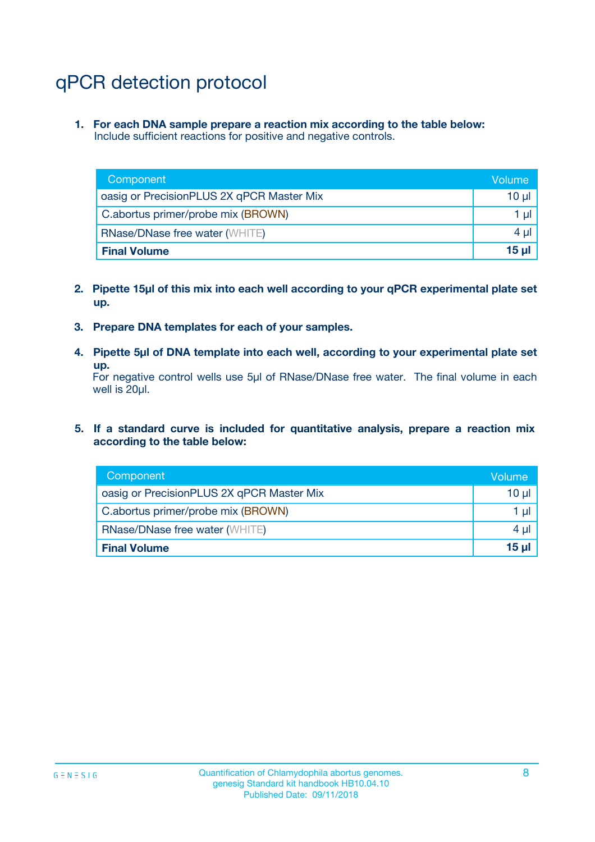# qPCR detection protocol

**1. For each DNA sample prepare a reaction mix according to the table below:** Include sufficient reactions for positive and negative controls.

| Component                                 | Volume           |
|-------------------------------------------|------------------|
| oasig or PrecisionPLUS 2X qPCR Master Mix | 10 $\mu$         |
| C.abortus primer/probe mix (BROWN)        | 1 $\mu$          |
| <b>RNase/DNase free water (WHITE)</b>     | $4 \mu$          |
| <b>Final Volume</b>                       | 15 <sub>ul</sub> |

- **2. Pipette 15µl of this mix into each well according to your qPCR experimental plate set up.**
- **3. Prepare DNA templates for each of your samples.**
- **4. Pipette 5µl of DNA template into each well, according to your experimental plate set up.**

For negative control wells use 5µl of RNase/DNase free water. The final volume in each well is 20µl.

**5. If a standard curve is included for quantitative analysis, prepare a reaction mix according to the table below:**

| Component                                 | Volume          |
|-------------------------------------------|-----------------|
| oasig or PrecisionPLUS 2X qPCR Master Mix | 10 µl           |
| C.abortus primer/probe mix (BROWN)        | 1 µI            |
| <b>RNase/DNase free water (WHITE)</b>     | $4 \mu$         |
| <b>Final Volume</b>                       | 15 <sub>µ</sub> |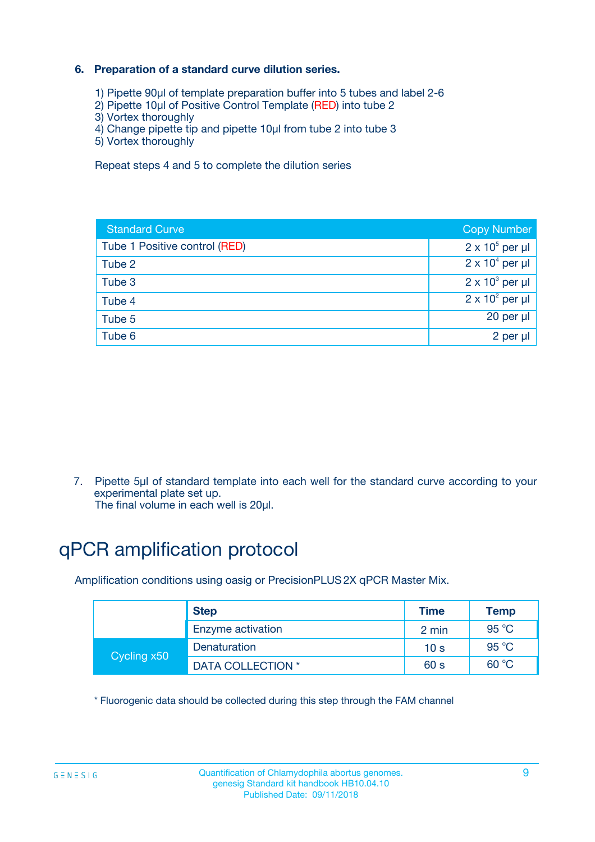#### **6. Preparation of a standard curve dilution series.**

- 1) Pipette 90µl of template preparation buffer into 5 tubes and label 2-6
- 2) Pipette 10µl of Positive Control Template (RED) into tube 2
- 3) Vortex thoroughly
- 4) Change pipette tip and pipette 10µl from tube 2 into tube 3
- 5) Vortex thoroughly

Repeat steps 4 and 5 to complete the dilution series

| <b>Standard Curve</b>         | <b>Copy Number</b>     |
|-------------------------------|------------------------|
| Tube 1 Positive control (RED) | $2 \times 10^5$ per µl |
| Tube 2                        | $2 \times 10^4$ per µl |
| Tube 3                        | $2 \times 10^3$ per µl |
| Tube 4                        | $2 \times 10^2$ per µl |
| Tube 5                        | 20 per µl              |
| Tube 6                        | $2$ per $\mu$          |

7. Pipette 5µl of standard template into each well for the standard curve according to your experimental plate set up.

The final volume in each well is 20µl.

# qPCR amplification protocol

Amplification conditions using oasig or PrecisionPLUS2X qPCR Master Mix.

|             | <b>Step</b>       | <b>Time</b>     | Temp           |
|-------------|-------------------|-----------------|----------------|
|             | Enzyme activation | 2 min           | $95^{\circ}$ C |
| Cycling x50 | Denaturation      | 10 <sub>s</sub> | 95 $°C$        |
|             | DATA COLLECTION * | 60 s            | 60 °C          |

\* Fluorogenic data should be collected during this step through the FAM channel